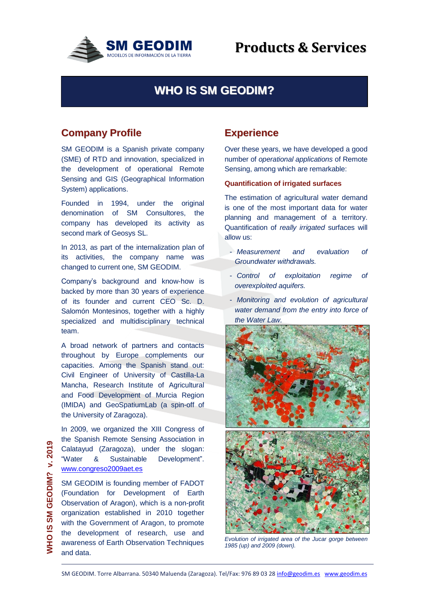

# **Products & Services**

## **WHO IS SM GEODIM?**

### **Company Profile**

SM GEODIM is a Spanish private company (SME) of RTD and innovation, specialized in the development of operational Remote Sensing and GIS (Geographical Information System) applications.

Founded in 1994, under the original denomination of SM Consultores, the company has developed its activity as second mark of Geosys SL.

In 2013, as part of the internalization plan of its activities, the company name was changed to current one, SM GEODIM.

Company's background and know-how is backed by more than 30 years of experience of its founder and current CEO Sc. D. Salomón Montesinos, together with a highly specialized and multidisciplinary technical team.

A broad network of partners and contacts throughout by Europe complements our capacities. Among the Spanish stand out: Civil Engineer of University of Castilla-La Mancha, Research Institute of Agricultural and Food Development of Murcia Region (IMIDA) and GeoSpatiumLab (a spin-off of the University of Zaragoza).

In 2009, we organized the XIII Congress of the Spanish Remote Sensing Association in Calatayud (Zaragoza), under the slogan: "Water & Sustainable Development". [www.congreso2009aet.es](http://www.congreso2009aet.es/)

SM GEODIM is founding member of FADOT (Foundation for Development of Earth Observation of Aragon), which is a non-profit organization established in 2010 together with the Government of Aragon, to promote the development of research, use and awareness of Earth Observation Techniques and data.

## **Experience**

Over these years, we have developed a good number of *operational applications* of Remote Sensing, among which are remarkable:

#### **Quantification of irrigated surfaces**

The estimation of agricultural water demand is one of the most important data for water planning and management of a territory. Quantification of *really irrigated* surfaces will allow us:

- *Measurement and evaluation of Groundwater withdrawals.*
- *Control of exploitation regime of overexploited aquifers.*
- *Monitoring and evolution of agricultural water demand from the entry into force of the Water Law.*



*Evolution of irrigated area of the Jucar gorge between 1985 (up) and 2009 (down).*